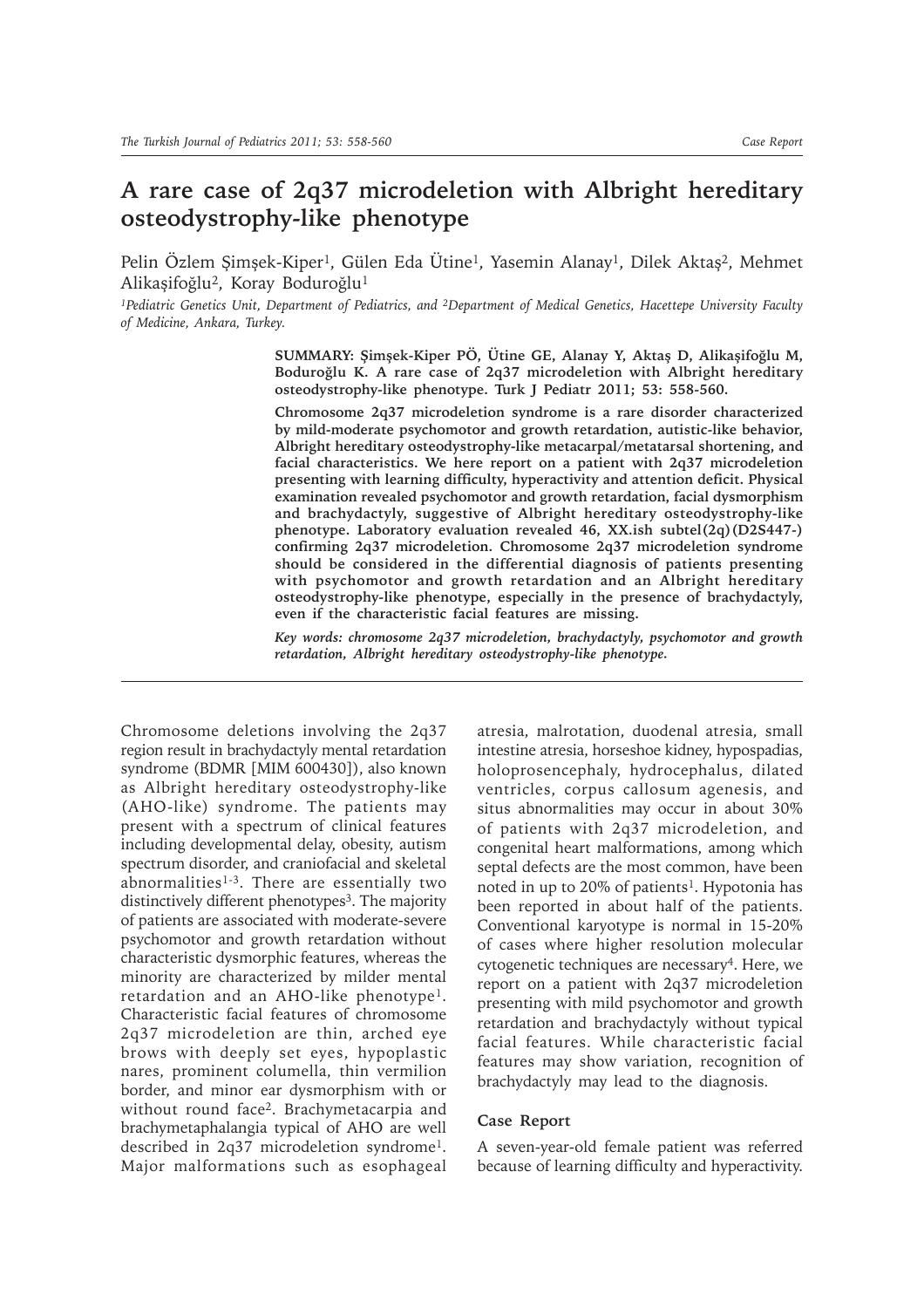## **A rare case of 2q37 microdeletion with Albright hereditary osteodystrophy-like phenotype**

Pelin Özlem Şimşek-Kiper<sup>1</sup>, Gülen Eda Ütine<sup>1</sup>, Yasemin Alanay<sup>1</sup>, Dilek Aktaş<sup>2</sup>, Mehmet Alikaşifoğlu2, Koray Boduroğlu1

*1Pediatric Genetics Unit, Department of Pediatrics, and 2Department of Medical Genetics, Hacettepe University Faculty of Medicine, Ankara, Turkey.*

> **SUMMARY: Şimşek-Kiper PÖ, Ütine GE, Alanay Y, Aktaş D, Alikaşifoğlu M, Boduroğlu K. A rare case of 2q37 microdeletion with Albright hereditary osteodystrophy-like phenotype. Turk J Pediatr 2011; 53: 558-560.**

> **Chromosome 2q37 microdeletion syndrome is a rare disorder characterized by mild-moderate psychomotor and growth retardation, autistic-like behavior, Albright hereditary osteodystrophy-like metacarpal/metatarsal shortening, and facial characteristics. We here report on a patient with 2q37 microdeletion presenting with learning difficulty, hyperactivity and attention deficit. Physical examination revealed psychomotor and growth retardation, facial dysmorphism and brachydactyly, suggestive of Albright hereditary osteodystrophy-like phenotype. Laboratory evaluation revealed 46, XX.ish subtel(2q)(D2S447-) confirming 2q37 microdeletion. Chromosome 2q37 microdeletion syndrome should be considered in the differential diagnosis of patients presenting with psychomotor and growth retardation and an Albright hereditary osteodystrophy-like phenotype, especially in the presence of brachydactyly, even if the characteristic facial features are missing.**

> *Key words: chromosome 2q37 microdeletion, brachydactyly, psychomotor and growth retardation, Albright hereditary osteodystrophy-like phenotype.*

Chromosome deletions involving the 2q37 region result in brachydactyly mental retardation syndrome (BDMR [MIM 600430]), also known as Albright hereditary osteodystrophy-like (AHO-like) syndrome. The patients may present with a spectrum of clinical features including developmental delay, obesity, autism spectrum disorder, and craniofacial and skeletal abnormalities<sup>1-3</sup>. There are essentially two distinctively different phenotypes<sup>3</sup>. The majority of patients are associated with moderate-severe psychomotor and growth retardation without characteristic dysmorphic features, whereas the minority are characterized by milder mental retardation and an AHO-like phenotype1. Characteristic facial features of chromosome 2q37 microdeletion are thin, arched eye brows with deeply set eyes, hypoplastic nares, prominent columella, thin vermilion border, and minor ear dysmorphism with or without round face2. Brachymetacarpia and brachymetaphalangia typical of AHO are well described in 2q37 microdeletion syndrome1. Major malformations such as esophageal

atresia, malrotation, duodenal atresia, small intestine atresia, horseshoe kidney, hypospadias, holoprosencephaly, hydrocephalus, dilated ventricles, corpus callosum agenesis, and situs abnormalities may occur in about 30% of patients with 2q37 microdeletion, and congenital heart malformations, among which septal defects are the most common, have been noted in up to 20% of patients<sup>1</sup>. Hypotonia has been reported in about half of the patients. Conventional karyotype is normal in 15-20% of cases where higher resolution molecular cytogenetic techniques are necessary4. Here, we report on a patient with 2q37 microdeletion presenting with mild psychomotor and growth retardation and brachydactyly without typical facial features. While characteristic facial features may show variation, recognition of brachydactyly may lead to the diagnosis.

## **Case Report**

A seven-year-old female patient was referred because of learning difficulty and hyperactivity.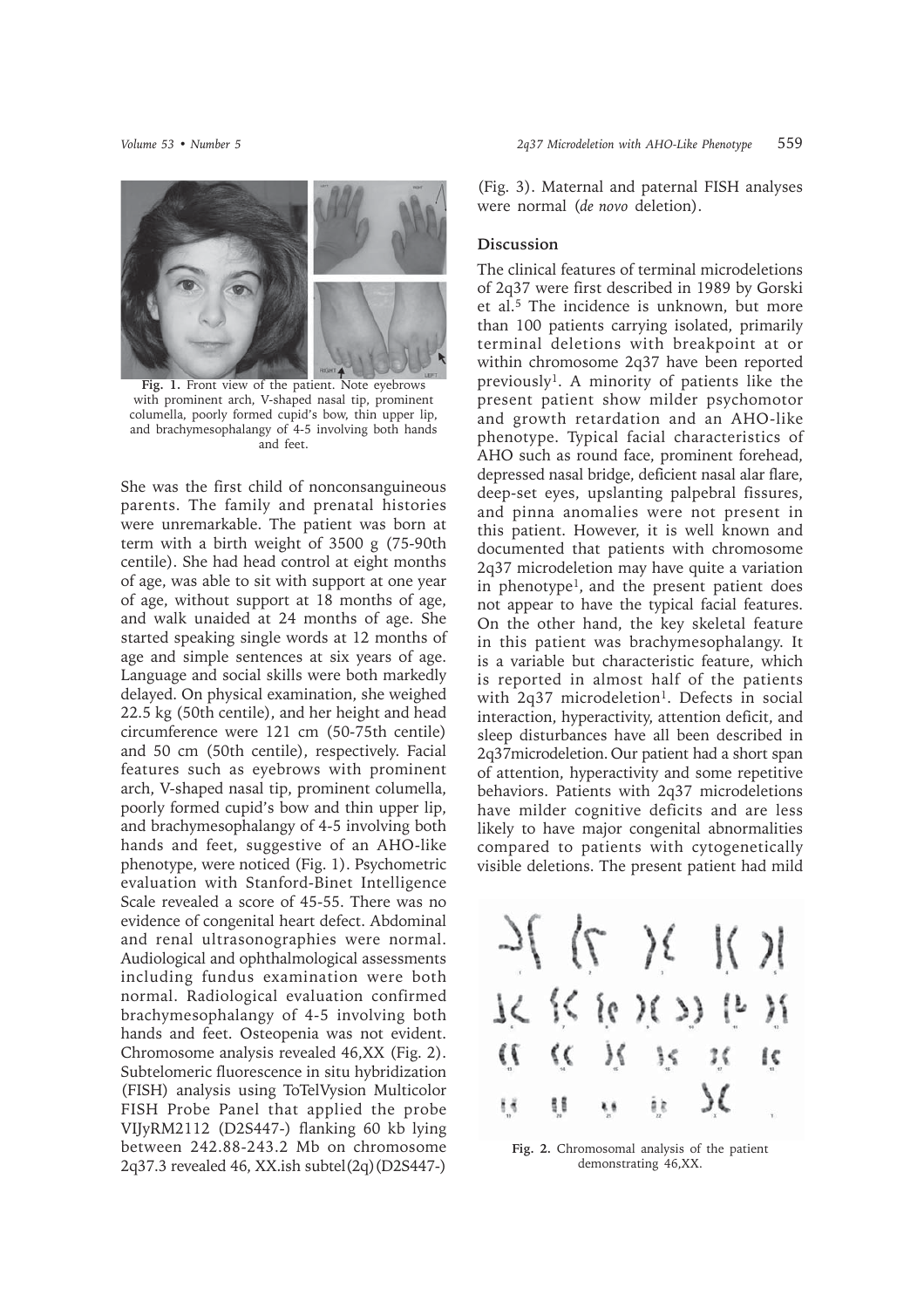

**Fig. 1.** Front view of the patient. Note eyebrows with prominent arch, V-shaped nasal tip, prominent columella, poorly formed cupid's bow, thin upper lip, and brachymesophalangy of 4-5 involving both hands and feet.

She was the first child of nonconsanguineous parents. The family and prenatal histories were unremarkable. The patient was born at term with a birth weight of 3500 g (75-90th centile). She had head control at eight months of age, was able to sit with support at one year of age, without support at 18 months of age, and walk unaided at 24 months of age. She started speaking single words at 12 months of age and simple sentences at six years of age. Language and social skills were both markedly delayed. On physical examination, she weighed 22.5 kg (50th centile), and her height and head circumference were 121 cm (50-75th centile) and 50 cm (50th centile), respectively. Facial features such as eyebrows with prominent arch, V-shaped nasal tip, prominent columella, poorly formed cupid's bow and thin upper lip, and brachymesophalangy of 4-5 involving both hands and feet, suggestive of an AHO-like phenotype, were noticed (Fig. 1). Psychometric evaluation with Stanford-Binet Intelligence Scale revealed a score of 45-55. There was no evidence of congenital heart defect. Abdominal and renal ultrasonographies were normal. Audiological and ophthalmological assessments including fundus examination were both normal. Radiological evaluation confirmed brachymesophalangy of 4-5 involving both hands and feet. Osteopenia was not evident. Chromosome analysis revealed 46,XX (Fig. 2). Subtelomeric fluorescence in situ hybridization (FISH) analysis using ToTelVysion Multicolor FISH Probe Panel that applied the probe VIJyRM2112 (D2S447-) flanking 60 kb lying between 242.88-243.2 Mb on chromosome 2q37.3 revealed 46, XX.ish subtel(2q)(D2S447-)

(Fig. 3). Maternal and paternal FISH analyses were normal (*de novo* deletion).

## **Discussion**

The clinical features of terminal microdeletions of 2q37 were first described in 1989 by Gorski et al.<sup>5</sup> The incidence is unknown, but more than 100 patients carrying isolated, primarily terminal deletions with breakpoint at or within chromosome 2q37 have been reported previously<sup>1</sup>. A minority of patients like the present patient show milder psychomotor and growth retardation and an AHO-like phenotype. Typical facial characteristics of AHO such as round face, prominent forehead, depressed nasal bridge, deficient nasal alar flare, deep-set eyes, upslanting palpebral fissures, and pinna anomalies were not present in this patient. However, it is well known and documented that patients with chromosome 2q37 microdeletion may have quite a variation in phenotype<sup>1</sup>, and the present patient does not appear to have the typical facial features. On the other hand, the key skeletal feature in this patient was brachymesophalangy. It is a variable but characteristic feature, which is reported in almost half of the patients with 2q37 microdeletion<sup>1</sup>. Defects in social interaction, hyperactivity, attention deficit, and sleep disturbances have all been described in 2q37microdeletion. Our patient had a short span of attention, hyperactivity and some repetitive behaviors. Patients with 2q37 microdeletions have milder cognitive deficits and are less likely to have major congenital abnormalities compared to patients with cytogenetically visible deletions. The present patient had mild



**Fig. 2.** Chromosomal analysis of the patient demonstrating 46,XX.